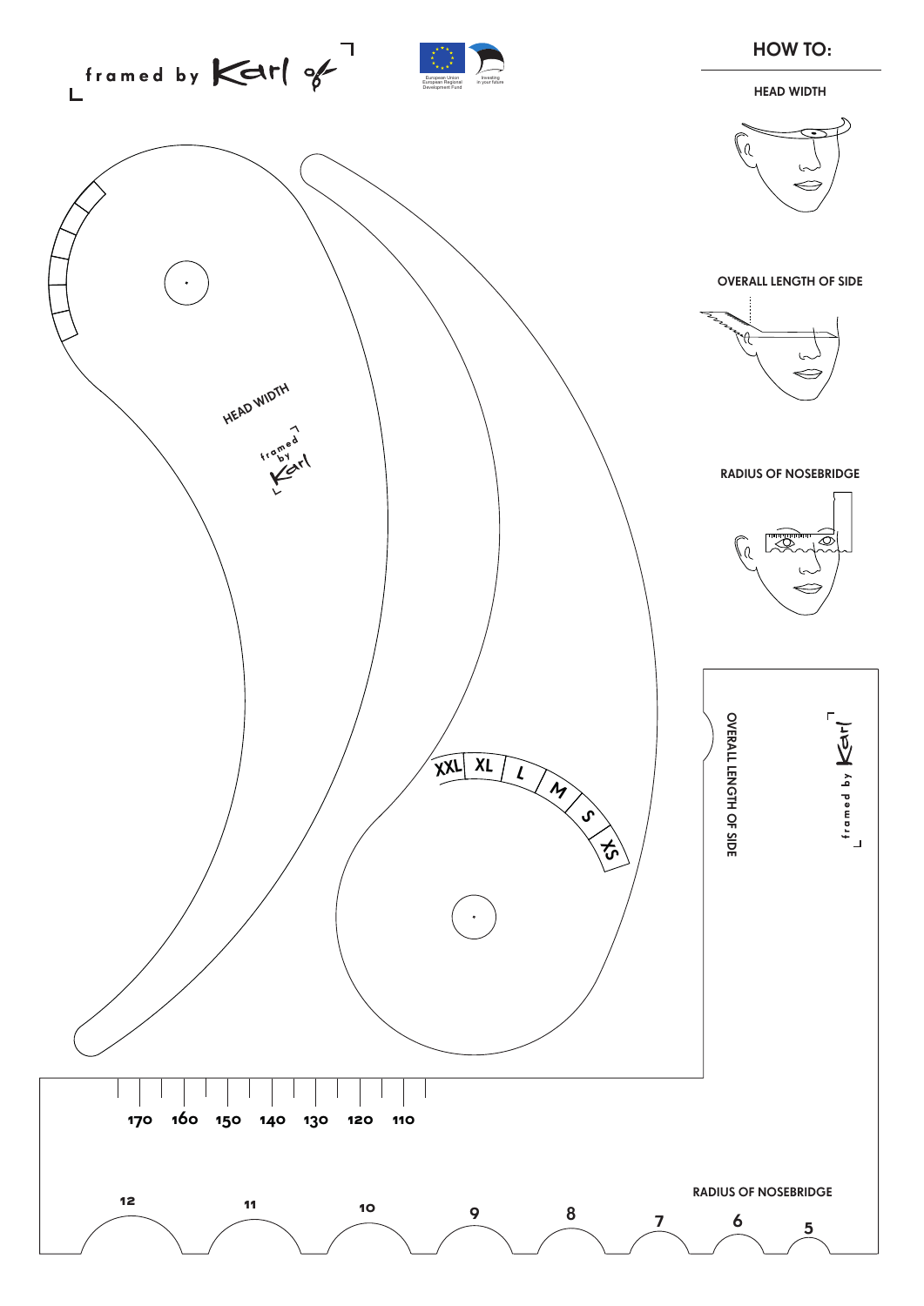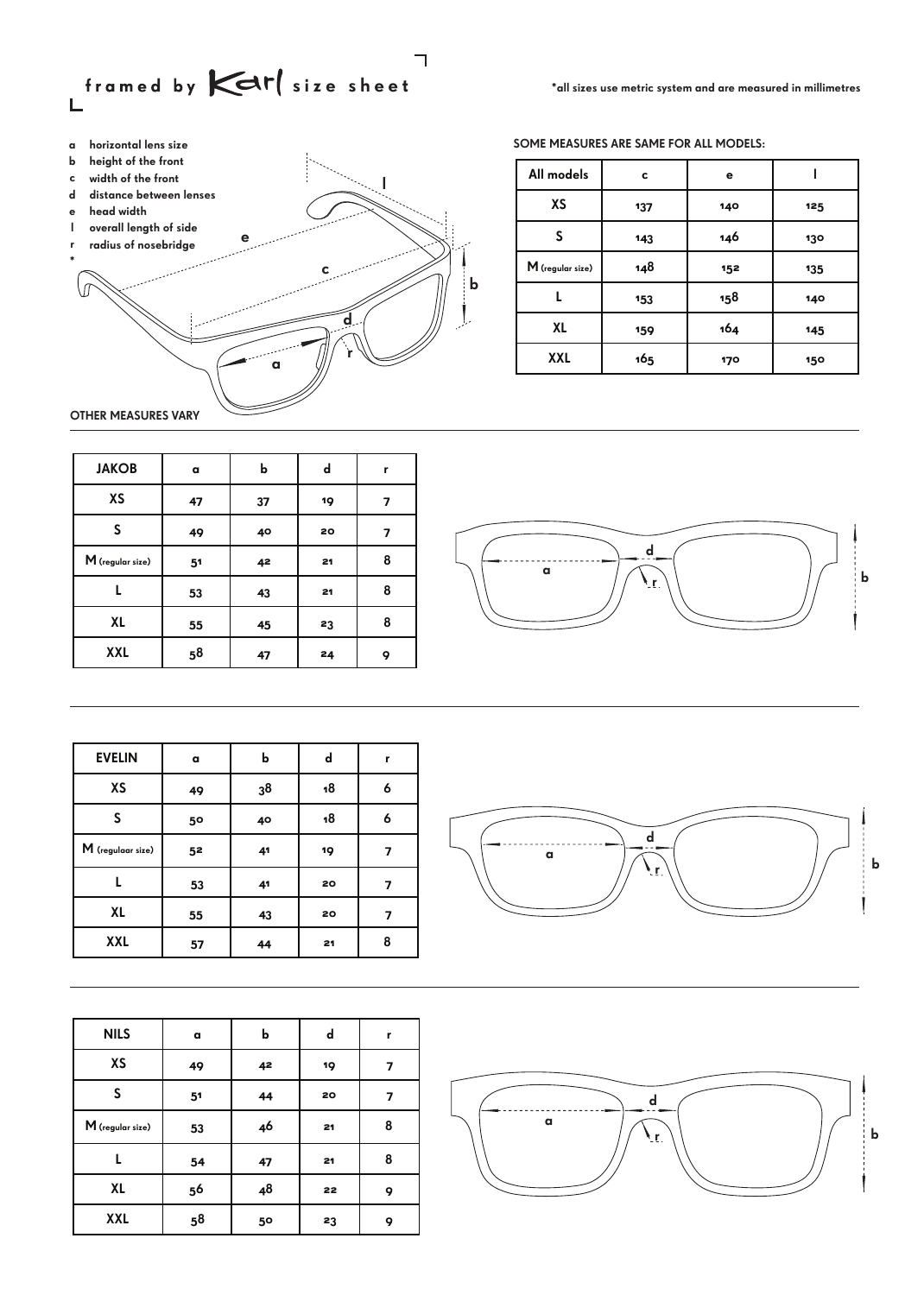



SOME MEASURES ARE SAME FOR ALL MODELS:

| All models         | c   | е   |     |
|--------------------|-----|-----|-----|
| XS                 | 137 | 140 | 125 |
| S                  | 143 | 146 | 130 |
| $M$ (regular size) | 148 | 152 | 135 |
|                    | 153 | 158 | 140 |
| XL                 | 159 | 164 | 145 |
| <b>XXL</b>         | 165 | 170 | 150 |

OTHER MEASURES VARY

| <b>JAKOB</b>       | a  | b  | d  | r |
|--------------------|----|----|----|---|
| XS                 | 47 | 37 | 19 | 7 |
| S                  | 49 | 40 | 20 | 7 |
| $M$ (regular size) | 51 | 42 | 21 | 8 |
|                    | 53 | 43 | 21 | 8 |
| XL                 | 55 | 45 | 23 | 8 |
| <b>XXL</b>         | 58 | 47 | 24 | 9 |



| <b>EVELIN</b>       | a  | b  | d  | r |
|---------------------|----|----|----|---|
| XS                  | 49 | 38 | 18 | 6 |
| S                   | 50 | 40 | 18 | 6 |
| $M$ (regulaar size) | 52 | 41 | 19 | 7 |
|                     | 53 | 41 | 20 | 7 |
| XL                  | 55 | 43 | 20 | 7 |
| <b>XXL</b>          | 57 | 44 | 21 | 8 |

| <b>NILS</b>        | a              | b  | d  | r |
|--------------------|----------------|----|----|---|
| XS                 | 49             | 42 | 19 | 7 |
| S                  | 5 <sup>1</sup> | 44 | 20 | 7 |
| $M$ (regular size) | 53             | 46 | 21 | 8 |
|                    | 54             | 47 | 21 | 8 |
| XL                 | 56             | 48 | 22 | 9 |
| <b>XXL</b>         | 5 <sup>8</sup> | 50 | 23 | 9 |



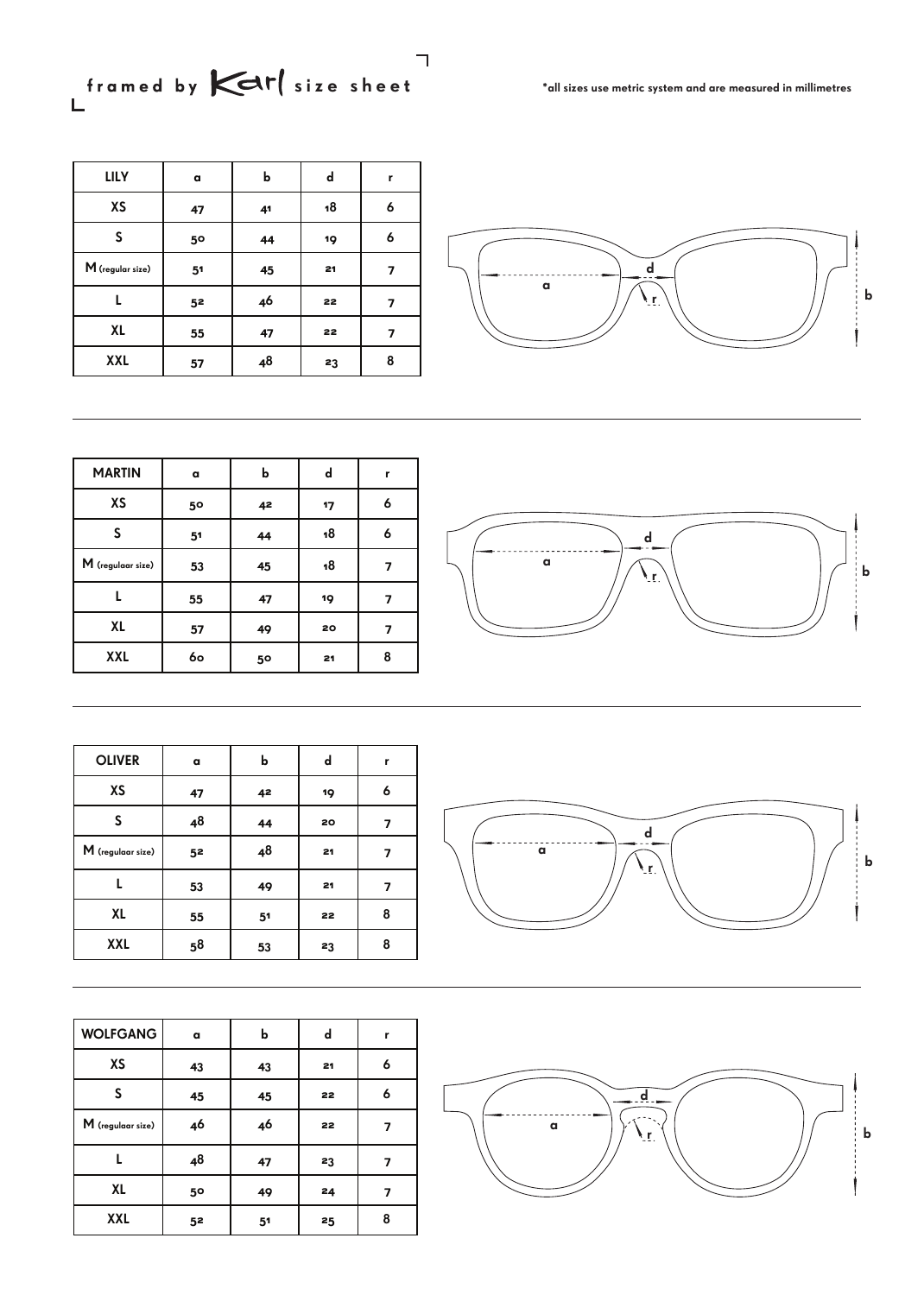size sheet \*all sizes use metric system and are measured in millimetres<br>L

| <b>LILY</b>        | $\mathbf{a}$   | b  | d  | r                       |                 |
|--------------------|----------------|----|----|-------------------------|-----------------|
| XS                 | 47             | 41 | 18 | 6                       |                 |
| S                  | 50             | 44 | 19 | 6                       |                 |
| $M$ (regular size) | 5 <sup>1</sup> | 45 | 21 | $\overline{\mathbf{z}}$ |                 |
|                    | 5 <sup>2</sup> | 46 | 22 | 7                       | $\alpha$<br>Мŗ. |
| XL                 | 55             | 47 | 22 | 7                       |                 |
| <b>XXL</b>         | 57             | 48 | 23 | 8                       |                 |



| <b>MARTIN</b>       | a              | b  | d  | r |
|---------------------|----------------|----|----|---|
| <b>XS</b>           | 50             | 42 | 17 | 6 |
| S                   | 5 <sup>1</sup> | 44 | 18 | 6 |
| $M$ (regulaar size) | 53             | 45 | 18 |   |
|                     | 55             | 47 | 19 | 7 |
| XL                  | 57             | 49 | 20 | 7 |
| <b>XXL</b>          | 60             | 50 | 21 | 8 |



| <b>OLIVER</b>       | a  | b              | d  | r |
|---------------------|----|----------------|----|---|
| XS                  | 47 | 42             | 19 | 6 |
| S                   | 48 | 44             | 20 | 7 |
| $M$ (regulaar size) | 52 | 48             | 21 | 7 |
| L                   | 53 | 49             | 21 | 7 |
| XL                  | 55 | 5 <sup>1</sup> | 22 | 8 |
| <b>XXL</b>          | 58 | 53             | 23 | 8 |

| <b>WOLFGANG</b>     | a              | b              | d  | r |
|---------------------|----------------|----------------|----|---|
| XS                  | 43             | 43             | 21 | 6 |
| S                   | 45             | 45             | 22 | 6 |
| $M$ (regulaar size) | 46             | 46             | 22 |   |
|                     | 48             | 47             | 23 |   |
| XL                  | 50             | 49             | 24 |   |
| <b>XXL</b>          | 5 <sup>2</sup> | 5 <sup>1</sup> | 25 | 8 |





٦